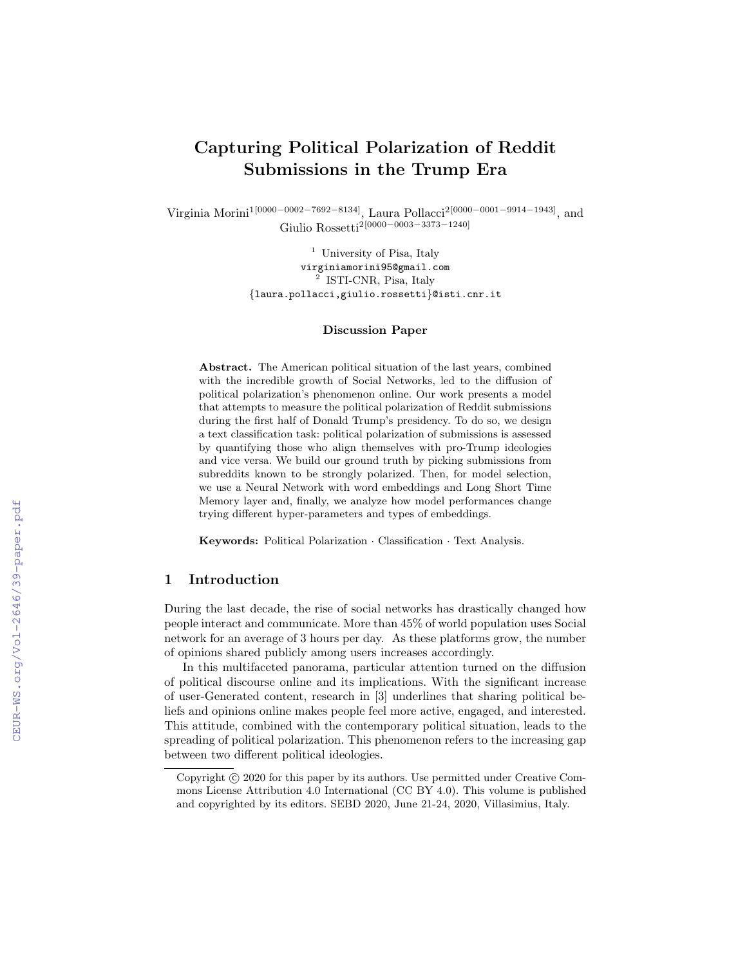# Capturing Political Polarization of Reddit Submissions in the Trump Era

Virginia Morini1[0000−0002−7692−8134], Laura Pollacci2[0000−0001−9914−1943], and Giulio Rossetti2[0000−0003−3373−1240]

> $^{\rm 1}$  University of Pisa, Italy virginiamorini95@gmail.com <sup>2</sup> ISTI-CNR, Pisa, Italy {laura.pollacci,giulio.rossetti}@isti.cnr.it

#### Discussion Paper

Abstract. The American political situation of the last years, combined with the incredible growth of Social Networks, led to the diffusion of political polarization's phenomenon online. Our work presents a model that attempts to measure the political polarization of Reddit submissions during the first half of Donald Trump's presidency. To do so, we design a text classification task: political polarization of submissions is assessed by quantifying those who align themselves with pro-Trump ideologies and vice versa. We build our ground truth by picking submissions from subreddits known to be strongly polarized. Then, for model selection, we use a Neural Network with word embeddings and Long Short Time Memory layer and, finally, we analyze how model performances change trying different hyper-parameters and types of embeddings.

Keywords: Political Polarization · Classification · Text Analysis.

#### 1 Introduction

During the last decade, the rise of social networks has drastically changed how people interact and communicate. More than 45% of world population uses Social network for an average of 3 hours per day. As these platforms grow, the number of opinions shared publicly among users increases accordingly.

In this multifaceted panorama, particular attention turned on the diffusion of political discourse online and its implications. With the significant increase of user-Generated content, research in [3] underlines that sharing political beliefs and opinions online makes people feel more active, engaged, and interested. This attitude, combined with the contemporary political situation, leads to the spreading of political polarization. This phenomenon refers to the increasing gap between two different political ideologies.

Copyright  $\odot$  2020 for this paper by its authors. Use permitted under Creative Commons License Attribution 4.0 International (CC BY 4.0). This volume is published and copyrighted by its editors. SEBD 2020, June 21-24, 2020, Villasimius, Italy.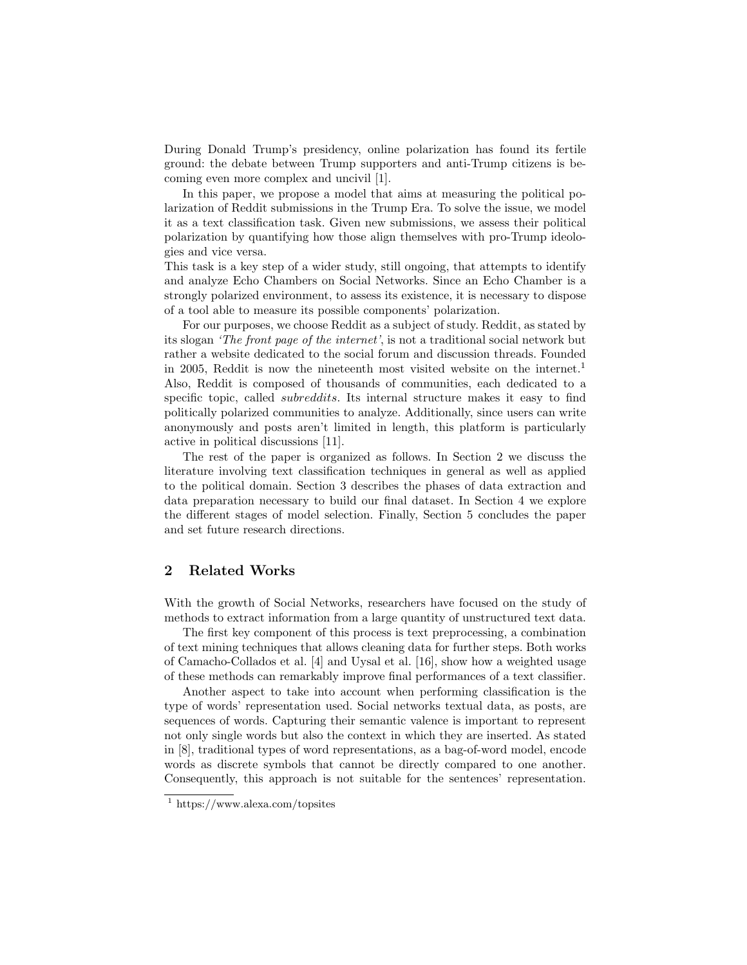During Donald Trump's presidency, online polarization has found its fertile ground: the debate between Trump supporters and anti-Trump citizens is becoming even more complex and uncivil [1].

In this paper, we propose a model that aims at measuring the political polarization of Reddit submissions in the Trump Era. To solve the issue, we model it as a text classification task. Given new submissions, we assess their political polarization by quantifying how those align themselves with pro-Trump ideologies and vice versa.

This task is a key step of a wider study, still ongoing, that attempts to identify and analyze Echo Chambers on Social Networks. Since an Echo Chamber is a strongly polarized environment, to assess its existence, it is necessary to dispose of a tool able to measure its possible components' polarization.

For our purposes, we choose Reddit as a subject of study. Reddit, as stated by its slogan 'The front page of the internet', is not a traditional social network but rather a website dedicated to the social forum and discussion threads. Founded in 2005, Reddit is now the nineteenth most visited website on the internet.<sup>1</sup> Also, Reddit is composed of thousands of communities, each dedicated to a specific topic, called *subreddits*. Its internal structure makes it easy to find politically polarized communities to analyze. Additionally, since users can write anonymously and posts aren't limited in length, this platform is particularly active in political discussions [11].

The rest of the paper is organized as follows. In Section 2 we discuss the literature involving text classification techniques in general as well as applied to the political domain. Section 3 describes the phases of data extraction and data preparation necessary to build our final dataset. In Section 4 we explore the different stages of model selection. Finally, Section 5 concludes the paper and set future research directions.

# 2 Related Works

With the growth of Social Networks, researchers have focused on the study of methods to extract information from a large quantity of unstructured text data.

The first key component of this process is text preprocessing, a combination of text mining techniques that allows cleaning data for further steps. Both works of Camacho-Collados et al. [4] and Uysal et al. [16], show how a weighted usage of these methods can remarkably improve final performances of a text classifier.

Another aspect to take into account when performing classification is the type of words' representation used. Social networks textual data, as posts, are sequences of words. Capturing their semantic valence is important to represent not only single words but also the context in which they are inserted. As stated in [8], traditional types of word representations, as a bag-of-word model, encode words as discrete symbols that cannot be directly compared to one another. Consequently, this approach is not suitable for the sentences' representation.

 $1$  https://www.alexa.com/topsites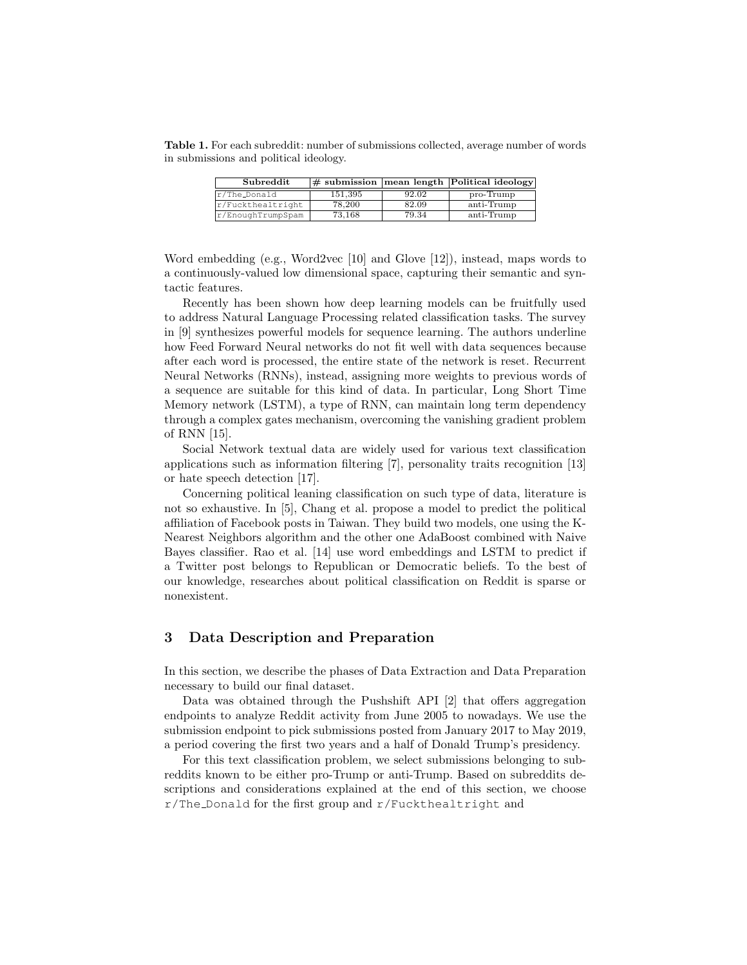Table 1. For each subreddit: number of submissions collected, average number of words in submissions and political ideology.

| Subreddit         |         |       | $\#$ submission   mean length   Political ideology |
|-------------------|---------|-------|----------------------------------------------------|
| r/The_Donald      | 151.395 | 92.02 | $pro-Trump$                                        |
| r/Fuckthealtright | 78,200  | 82.09 | anti-Trump                                         |
| r/EnoughTrumpSpam | 73.168  | 79.34 | anti-Trump                                         |

Word embedding (e.g., Word2vec [10] and Glove [12]), instead, maps words to a continuously-valued low dimensional space, capturing their semantic and syntactic features.

Recently has been shown how deep learning models can be fruitfully used to address Natural Language Processing related classification tasks. The survey in [9] synthesizes powerful models for sequence learning. The authors underline how Feed Forward Neural networks do not fit well with data sequences because after each word is processed, the entire state of the network is reset. Recurrent Neural Networks (RNNs), instead, assigning more weights to previous words of a sequence are suitable for this kind of data. In particular, Long Short Time Memory network (LSTM), a type of RNN, can maintain long term dependency through a complex gates mechanism, overcoming the vanishing gradient problem of RNN [15].

Social Network textual data are widely used for various text classification applications such as information filtering [7], personality traits recognition [13] or hate speech detection [17].

Concerning political leaning classification on such type of data, literature is not so exhaustive. In [5], Chang et al. propose a model to predict the political affiliation of Facebook posts in Taiwan. They build two models, one using the K-Nearest Neighbors algorithm and the other one AdaBoost combined with Naive Bayes classifier. Rao et al. [14] use word embeddings and LSTM to predict if a Twitter post belongs to Republican or Democratic beliefs. To the best of our knowledge, researches about political classification on Reddit is sparse or nonexistent.

## 3 Data Description and Preparation

In this section, we describe the phases of Data Extraction and Data Preparation necessary to build our final dataset.

Data was obtained through the Pushshift API [2] that offers aggregation endpoints to analyze Reddit activity from June 2005 to nowadays. We use the submission endpoint to pick submissions posted from January 2017 to May 2019, a period covering the first two years and a half of Donald Trump's presidency.

For this text classification problem, we select submissions belonging to subreddits known to be either pro-Trump or anti-Trump. Based on subreddits descriptions and considerations explained at the end of this section, we choose r/The Donald for the first group and r/Fuckthealtright and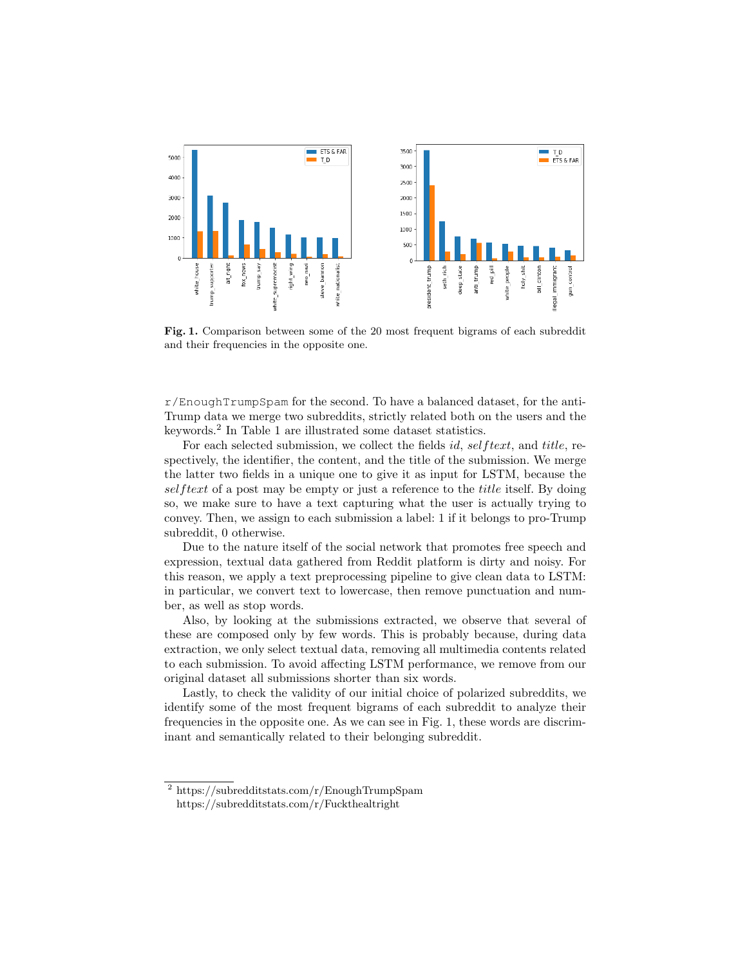

Fig. 1. Comparison between some of the 20 most frequent bigrams of each subreddit and their frequencies in the opposite one.

 $r/E$ noughTrumpSpam for the second. To have a balanced dataset, for the anti-Trump data we merge two subreddits, strictly related both on the users and the keywords.<sup>2</sup> In Table 1 are illustrated some dataset statistics.

For each selected submission, we collect the fields id, selftext, and title, respectively, the identifier, the content, and the title of the submission. We merge the latter two fields in a unique one to give it as input for LSTM, because the selftext of a post may be empty or just a reference to the *title* itself. By doing so, we make sure to have a text capturing what the user is actually trying to convey. Then, we assign to each submission a label: 1 if it belongs to pro-Trump subreddit, 0 otherwise.

Due to the nature itself of the social network that promotes free speech and expression, textual data gathered from Reddit platform is dirty and noisy. For this reason, we apply a text preprocessing pipeline to give clean data to LSTM: in particular, we convert text to lowercase, then remove punctuation and number, as well as stop words.

Also, by looking at the submissions extracted, we observe that several of these are composed only by few words. This is probably because, during data extraction, we only select textual data, removing all multimedia contents related to each submission. To avoid affecting LSTM performance, we remove from our original dataset all submissions shorter than six words.

Lastly, to check the validity of our initial choice of polarized subreddits, we identify some of the most frequent bigrams of each subreddit to analyze their frequencies in the opposite one. As we can see in Fig. 1, these words are discriminant and semantically related to their belonging subreddit.

<sup>2</sup> https://subredditstats.com/r/EnoughTrumpSpam https://subredditstats.com/r/Fuckthealtright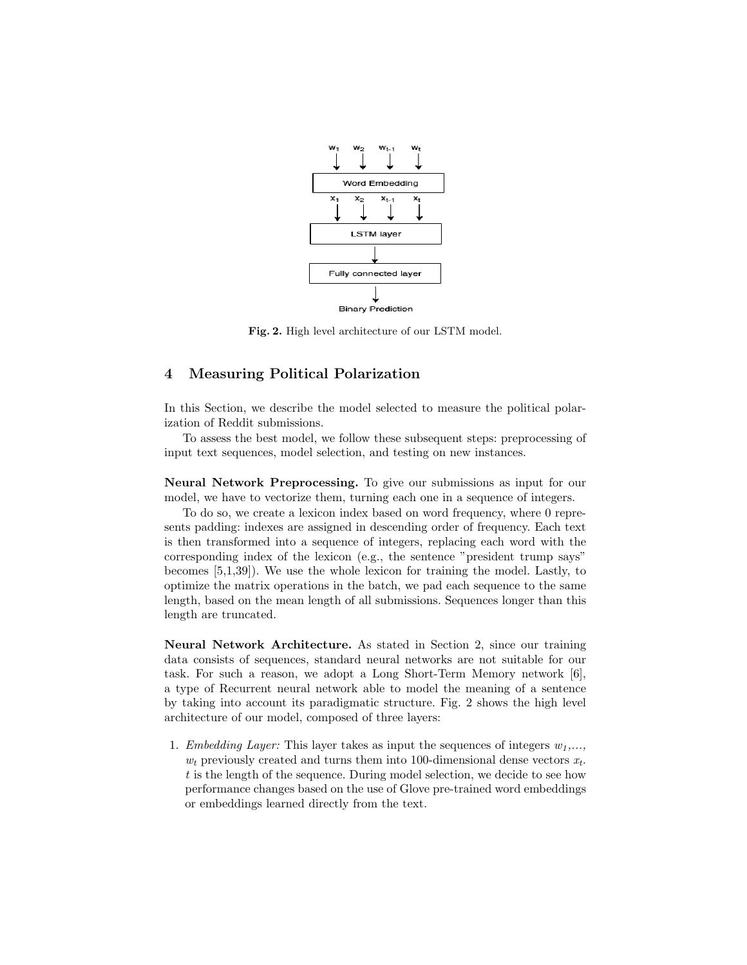

Fig. 2. High level architecture of our LSTM model.

#### 4 Measuring Political Polarization

In this Section, we describe the model selected to measure the political polarization of Reddit submissions.

To assess the best model, we follow these subsequent steps: preprocessing of input text sequences, model selection, and testing on new instances.

Neural Network Preprocessing. To give our submissions as input for our model, we have to vectorize them, turning each one in a sequence of integers.

To do so, we create a lexicon index based on word frequency, where 0 represents padding: indexes are assigned in descending order of frequency. Each text is then transformed into a sequence of integers, replacing each word with the corresponding index of the lexicon (e.g., the sentence "president trump says" becomes [5,1,39]). We use the whole lexicon for training the model. Lastly, to optimize the matrix operations in the batch, we pad each sequence to the same length, based on the mean length of all submissions. Sequences longer than this length are truncated.

Neural Network Architecture. As stated in Section 2, since our training data consists of sequences, standard neural networks are not suitable for our task. For such a reason, we adopt a Long Short-Term Memory network [6], a type of Recurrent neural network able to model the meaning of a sentence by taking into account its paradigmatic structure. Fig. 2 shows the high level architecture of our model, composed of three layers:

1. Embedding Layer: This layer takes as input the sequences of integers  $w_1, \ldots$ ,  $w_t$  previously created and turns them into 100-dimensional dense vectors  $x_t$ . t is the length of the sequence. During model selection, we decide to see how performance changes based on the use of Glove pre-trained word embeddings or embeddings learned directly from the text.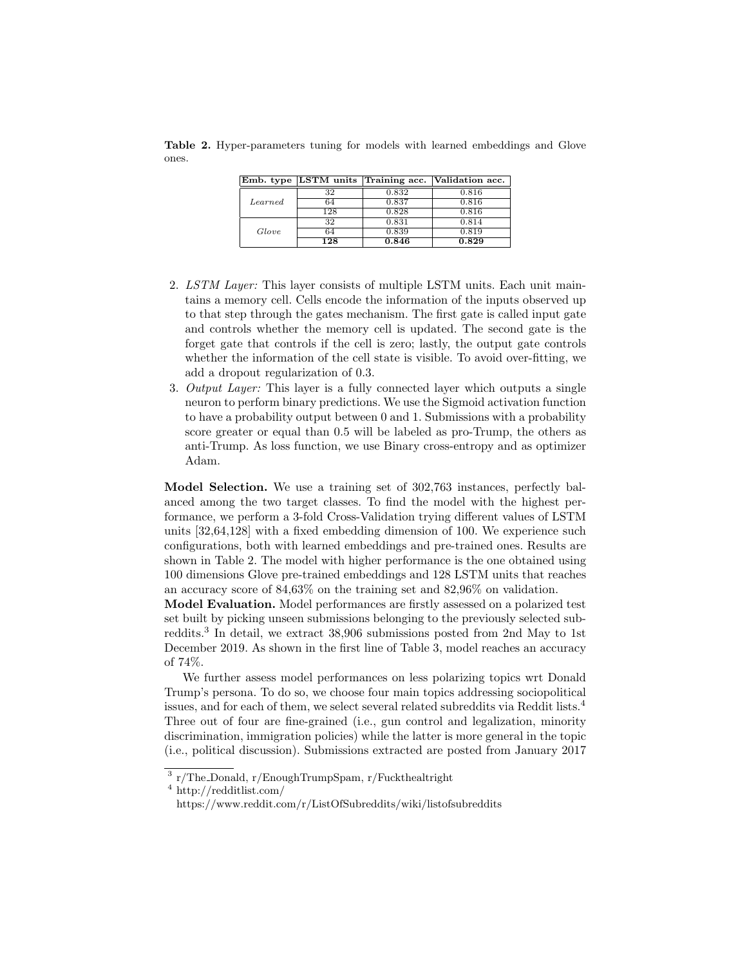Table 2. Hyper-parameters tuning for models with learned embeddings and Glove ones.

|         |     |       | Emb. type LSTM units Training acc. Validation acc. |
|---------|-----|-------|----------------------------------------------------|
|         | 32  | 0.832 | 0.816                                              |
| Learned | 64  | 0.837 | 0.816                                              |
|         | 128 | 0.828 | 0.816                                              |
|         | 32  | 0.831 | 0.814                                              |
| Glove   | 64  | 0.839 | 0.819                                              |
|         | 128 | 0.846 | 0.829                                              |

- 2. LSTM Layer: This layer consists of multiple LSTM units. Each unit maintains a memory cell. Cells encode the information of the inputs observed up to that step through the gates mechanism. The first gate is called input gate and controls whether the memory cell is updated. The second gate is the forget gate that controls if the cell is zero; lastly, the output gate controls whether the information of the cell state is visible. To avoid over-fitting, we add a dropout regularization of 0.3.
- 3. Output Layer: This layer is a fully connected layer which outputs a single neuron to perform binary predictions. We use the Sigmoid activation function to have a probability output between 0 and 1. Submissions with a probability score greater or equal than 0.5 will be labeled as pro-Trump, the others as anti-Trump. As loss function, we use Binary cross-entropy and as optimizer Adam.

Model Selection. We use a training set of 302,763 instances, perfectly balanced among the two target classes. To find the model with the highest performance, we perform a 3-fold Cross-Validation trying different values of LSTM units [32,64,128] with a fixed embedding dimension of 100. We experience such configurations, both with learned embeddings and pre-trained ones. Results are shown in Table 2. The model with higher performance is the one obtained using 100 dimensions Glove pre-trained embeddings and 128 LSTM units that reaches an accuracy score of 84,63% on the training set and 82,96% on validation.

Model Evaluation. Model performances are firstly assessed on a polarized test set built by picking unseen submissions belonging to the previously selected subreddits.<sup>3</sup> In detail, we extract 38,906 submissions posted from 2nd May to 1st December 2019. As shown in the first line of Table 3, model reaches an accuracy of 74%.

We further assess model performances on less polarizing topics wrt Donald Trump's persona. To do so, we choose four main topics addressing sociopolitical issues, and for each of them, we select several related subreddits via Reddit lists.<sup>4</sup> Three out of four are fine-grained (i.e., gun control and legalization, minority discrimination, immigration policies) while the latter is more general in the topic (i.e., political discussion). Submissions extracted are posted from January 2017

<sup>3</sup> r/The Donald, r/EnoughTrumpSpam, r/Fuckthealtright

<sup>4</sup> http://redditlist.com/

https://www.reddit.com/r/ListOfSubreddits/wiki/listofsubreddits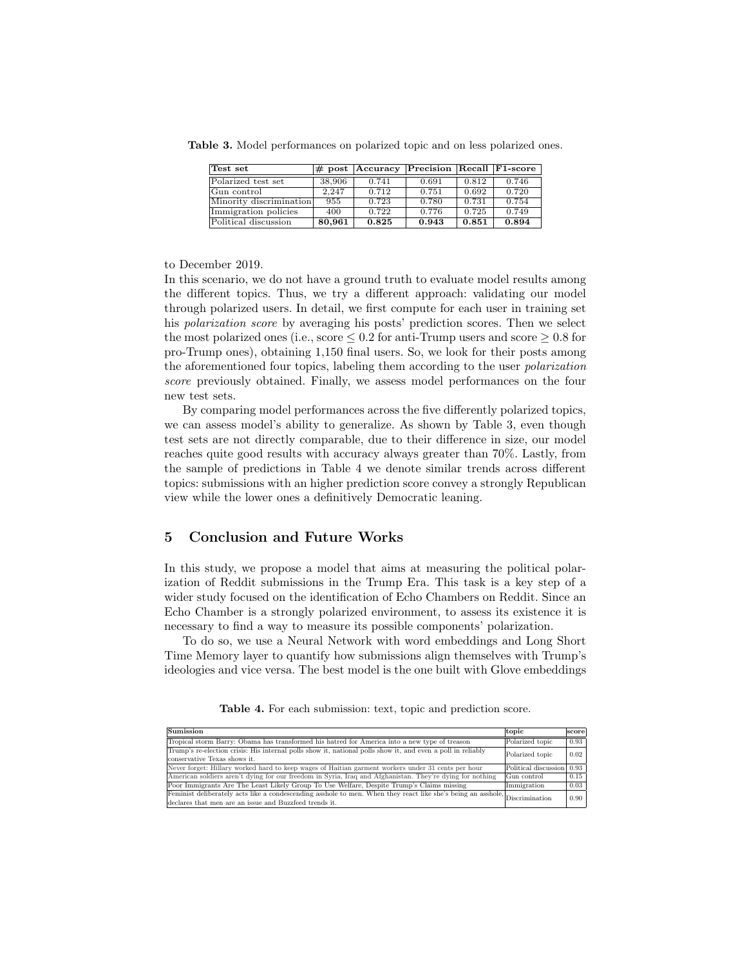Table 3. Model performances on polarized topic and on less polarized ones.

| Test set                |        | # post   Accuracy   Precision   Recall   F1-score |       |       |       |
|-------------------------|--------|---------------------------------------------------|-------|-------|-------|
| Polarized test set      | 38,906 | 0.741                                             | 0.691 | 0.812 | 0.746 |
| Gun control             | 2.247  | 0.712                                             | 0.751 | 0.692 | 0.720 |
| Minority discrimination | 955    | 0.723                                             | 0.780 | 0.731 | 0.754 |
| Immigration policies    | 400    | 0.722                                             | 0.776 | 0.725 | 0.749 |
| Political discussion    | 80,961 | 0.825                                             | 0.943 | 0.851 | 0.894 |

to December 2019.

In this scenario, we do not have a ground truth to evaluate model results among the different topics. Thus, we try a different approach: validating our model through polarized users. In detail, we first compute for each user in training set his polarization score by averaging his posts' prediction scores. Then we select the most polarized ones (i.e., score  $\leq 0.2$  for anti-Trump users and score  $\geq 0.8$  for pro-Trump ones), obtaining 1,150 final users. So, we look for their posts among the aforementioned four topics, labeling them according to the user polarization score previously obtained. Finally, we assess model performances on the four new test sets.

By comparing model performances across the five differently polarized topics, we can assess model's ability to generalize. As shown by Table 3, even though test sets are not directly comparable, due to their difference in size, our model reaches quite good results with accuracy always greater than 70%. Lastly, from the sample of predictions in Table 4 we denote similar trends across different topics: submissions with an higher prediction score convey a strongly Republican view while the lower ones a definitively Democratic leaning.

## 5 Conclusion and Future Works

In this study, we propose a model that aims at measuring the political polarization of Reddit submissions in the Trump Era. This task is a key step of a wider study focused on the identification of Echo Chambers on Reddit. Since an Echo Chamber is a strongly polarized environment, to assess its existence it is necessary to find a way to measure its possible components' polarization.

To do so, we use a Neural Network with word embeddings and Long Short Time Memory layer to quantify how submissions align themselves with Trump's ideologies and vice versa. The best model is the one built with Glove embeddings

| <b>Sumission</b>                                                                                                                                                                      | topic                     | score |
|---------------------------------------------------------------------------------------------------------------------------------------------------------------------------------------|---------------------------|-------|
| Tropical storm Barry: Obama has transformed his hatred for America into a new type of treason                                                                                         | Polarized topic           | 0.93  |
| Trump's re-election crisis: His internal polls show it, national polls show it, and even a poll in reliably<br>conservative Texas shows it.                                           | Polarized topic           | 0.02  |
| Never forget: Hillary worked hard to keep wages of Haitian garment workers under 31 cents per hour                                                                                    | Political discussion 0.93 |       |
| American soldiers aren't dying for our freedom in Syria, Iraq and Afghanistan. They're dying for nothing                                                                              | Gun control               | 0.15  |
| Poor Immigrants Are The Least Likely Group To Use Welfare, Despite Trump's Claims missing                                                                                             | Immigration               | 0.03  |
| Feminist deliberately acts like a condescending asshole to men. When they react like she's being an asshole, Discrimination<br>declares that men are an issue and Buzzfeed trends it. |                           | 0.90  |

Table 4. For each submission: text, topic and prediction score.